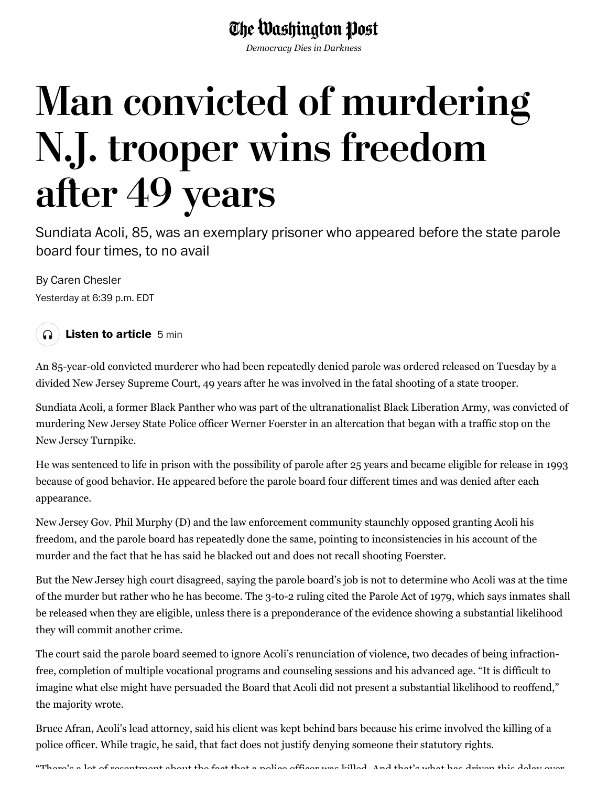## The Washington Post

*Democracy Dies in Darkness*

## **Man convicted of murdering N.J. trooper wins freedom a�er 49 years**

Sundiata Acoli, 85, was an exemplary prisoner who appeared before the state parole board four times, to no avail

By Caren Chesler Yesterday at 6:39 p.m. EDT

**Listen to article** 5 min  $\Omega$ 

An 85-year-old convicted murderer who had been repeatedly denied parole was ordered released on Tuesday by a divided New Jersey Supreme Court, 49 years after he was involved in the fatal shooting of a state trooper.

Sundiata Acoli, a former Black Panther who was part of the ultranationalist Black Liberation Army, was convicted of murdering New Jersey State Police officer Werner Foerster in an altercation that began with a traffic stop on the New Jersey Turnpike.

He was sentenced to life in prison with the possibility of parole after 25 years and became eligible for release in 1993 because of good behavior. He appeared before the parole board four different times and was denied after each appearance.

New Jersey Gov. Phil Murphy (D) and the law enforcement community staunchly opposed granting Acoli his freedom, and the parole board has repeatedly done the same, pointing to inconsistencies in his account of the murder and the fact that he has said he blacked out and does not recall shooting Foerster.

But the New Jersey high court disagreed, saying the parole board's job is not to determine who Acoli was at the time of the murder but rather who he has become. The 3-to-2 ruling cited the Parole Act of 1979, which says inmates shall be released when they are eligible, unless there is a preponderance of the evidence showing a substantial likelihood they will commit another crime.

The court said the parole board seemed to ignore Acoli's renunciation of violence, two decades of being infractionfree, completion of multiple vocational programs and counseling sessions and his advanced age. "It is difficult to imagine what else might have persuaded the Board that Acoli did not present a substantial likelihood to reoffend," the majority wrote.

Bruce Afran, Acoli's lead attorney, said his client was kept behind bars because his crime involved the killing of a police officer. While tragic, he said, that fact does not justify denying someone their statutory rights.